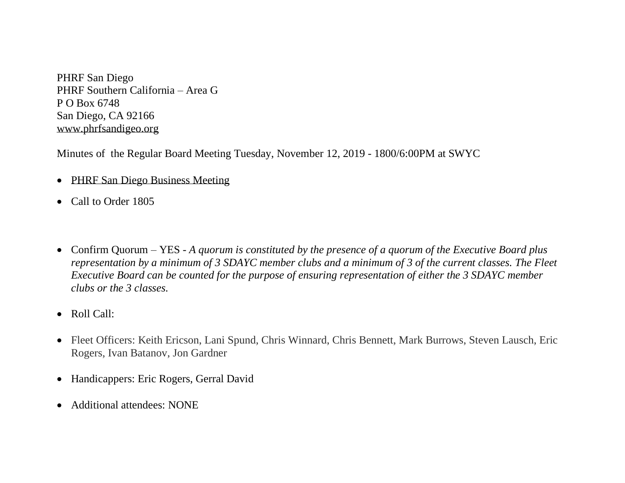PHRF San Diego PHRF Southern California – Area G P O Box 6748 San Diego, CA 92166 [www.phrfsandigeo.org](http://www.phrfsandigeo.org/)

Minutes of the Regular Board Meeting Tuesday, November 12, 2019 - 1800/6:00PM at SWYC

- PHRF San Diego Business Meeting
- Call to Order 1805
- Confirm Quorum YES *A quorum is constituted by the presence of a quorum of the Executive Board plus representation by a minimum of 3 SDAYC member clubs and a minimum of 3 of the current classes. The Fleet Executive Board can be counted for the purpose of ensuring representation of either the 3 SDAYC member clubs or the 3 classes.*
- Roll Call:
- Fleet Officers: Keith Ericson, Lani Spund, Chris Winnard, Chris Bennett, Mark Burrows, Steven Lausch, Eric Rogers, Ivan Batanov, Jon Gardner
- Handicappers: Eric Rogers, Gerral David
- Additional attendees: NONE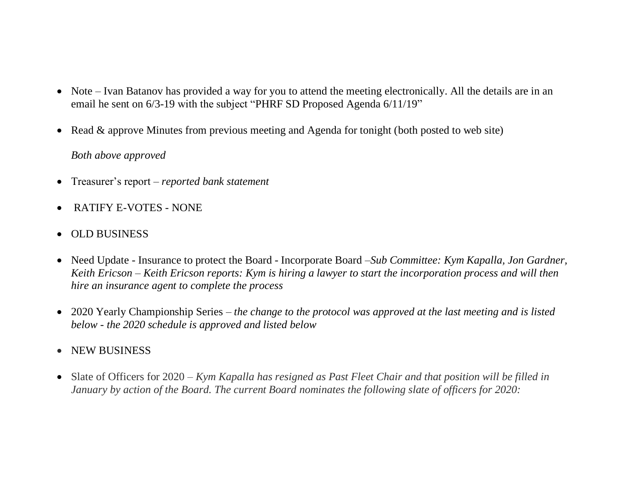- Note Ivan Batanov has provided a way for you to attend the meeting electronically. All the details are in an email he sent on 6/3-19 with the subject "PHRF SD Proposed Agenda 6/11/19"
- Read & approve Minutes from previous meeting and Agenda for tonight (both posted to web site)

## *Both above approved*

- Treasurer's report *– reported bank statement*
- RATIFY E-VOTES NONE
- OLD BUSINESS
- Need Update Insurance to protect the Board Incorporate Board –*Sub Committee: Kym Kapalla, Jon Gardner, Keith Ericson – Keith Ericson reports: Kym is hiring a lawyer to start the incorporation process and will then hire an insurance agent to complete the process*
- 2020 Yearly Championship Series *the change to the protocol was approved at the last meeting and is listed below - the 2020 schedule is approved and listed below*
- NEW BUSINESS
- Slate of Officers for 2020 *– Kym Kapalla has resigned as Past Fleet Chair and that position will be filled in January by action of the Board. The current Board nominates the following slate of officers for 2020:*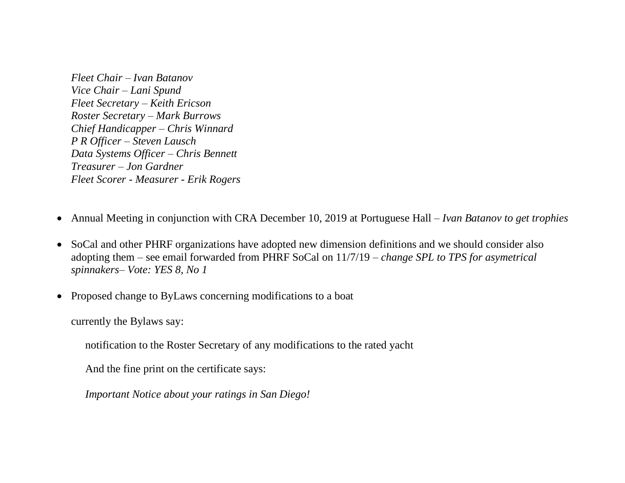*Fleet Chair – Ivan Batanov Vice Chair – Lani Spund Fleet Secretary – Keith Ericson Roster Secretary – Mark Burrows Chief Handicapper – Chris Winnard P R Officer – Steven Lausch Data Systems Officer – Chris Bennett Treasurer – Jon Gardner Fleet Scorer - Measurer - Erik Rogers*

- Annual Meeting in conjunction with CRA December 10, 2019 at Portuguese Hall *– Ivan Batanov to get trophies*
- SoCal and other PHRF organizations have adopted new dimension definitions and we should consider also adopting them – see email forwarded from PHRF SoCal on 11/7/19 *– change SPL to TPS for asymetrical spinnakers– Vote: YES 8, No 1*
- Proposed change to ByLaws concerning modifications to a boat

currently the Bylaws say:

notification to the Roster Secretary of any modifications to the rated yacht

And the fine print on the certificate says:

*Important Notice about your ratings in San Diego!*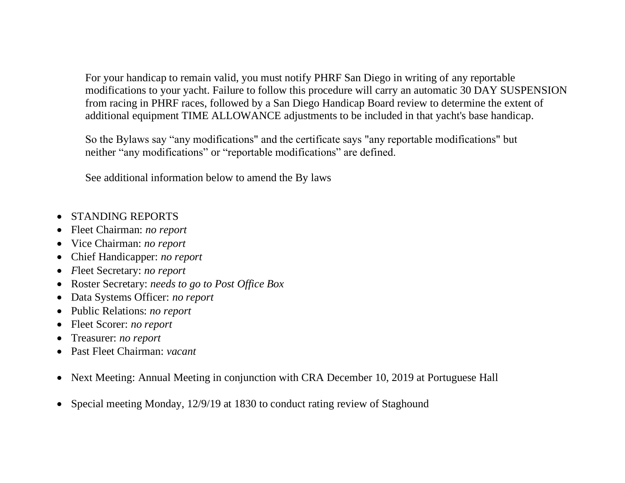For your handicap to remain valid, you must notify PHRF San Diego in writing of any reportable modifications to your yacht. Failure to follow this procedure will carry an automatic 30 DAY SUSPENSION from racing in PHRF races, followed by a San Diego Handicap Board review to determine the extent of additional equipment TIME ALLOWANCE adjustments to be included in that yacht's base handicap.

So the Bylaws say "any modifications" and the certificate says "any reportable modifications" but neither "any modifications" or "reportable modifications" are defined.

See additional information below to amend the By laws

- STANDING REPORTS
- Fleet Chairman: *no report*
- Vice Chairman: *no report*
- Chief Handicapper: *no report*
- *F*leet Secretary: *no report*
- Roster Secretary: *needs to go to Post Office Box*
- Data Systems Officer: *no report*
- Public Relations: *no report*
- Fleet Scorer: *no report*
- Treasurer: *no report*
- Past Fleet Chairman: *vacant*
- Next Meeting: Annual Meeting in conjunction with CRA December 10, 2019 at Portuguese Hall
- Special meeting Monday, 12/9/19 at 1830 to conduct rating review of Staghound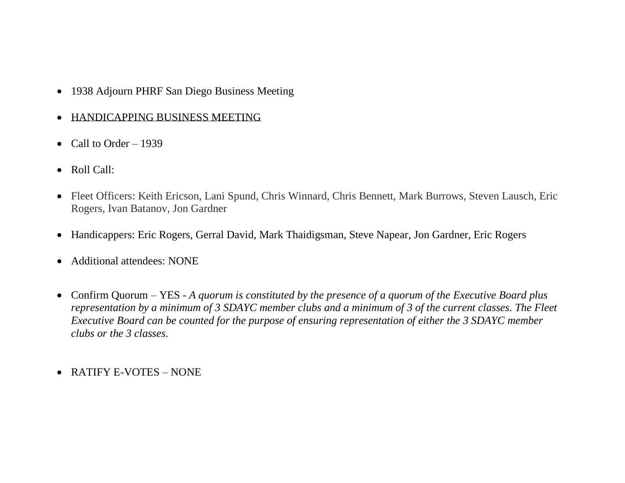- 1938 Adjourn PHRF San Diego Business Meeting
- HANDICAPPING BUSINESS MEETING
- Call to Order  $-1939$
- Roll Call:
- Fleet Officers: Keith Ericson, Lani Spund, Chris Winnard, Chris Bennett, Mark Burrows, Steven Lausch, Eric Rogers, Ivan Batanov, Jon Gardner
- Handicappers: Eric Rogers, Gerral David, Mark Thaidigsman, Steve Napear, Jon Gardner, Eric Rogers
- Additional attendees: NONE
- Confirm Quorum YES *A quorum is constituted by the presence of a quorum of the Executive Board plus representation by a minimum of 3 SDAYC member clubs and a minimum of 3 of the current classes. The Fleet Executive Board can be counted for the purpose of ensuring representation of either the 3 SDAYC member clubs or the 3 classes.*
- RATIFY E-VOTES NONE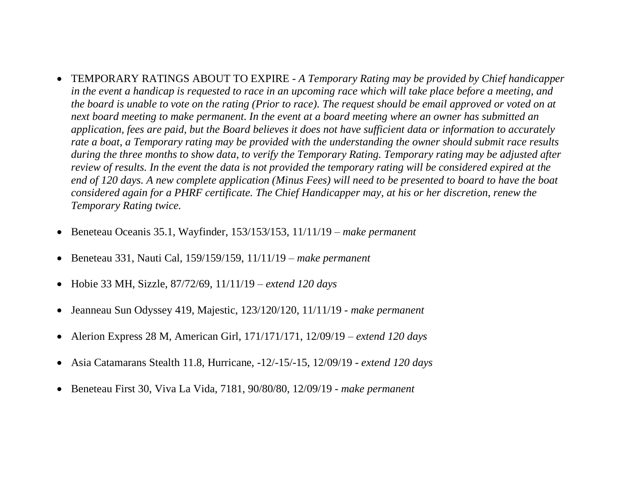- TEMPORARY RATINGS ABOUT TO EXPIRE *A Temporary Rating may be provided by Chief handicapper in the event a handicap is requested to race in an upcoming race which will take place before a meeting, and the board is unable to vote on the rating (Prior to race). The request should be email approved or voted on at next board meeting to make permanent. In the event at a board meeting where an owner has submitted an application, fees are paid, but the Board believes it does not have sufficient data or information to accurately rate a boat, a Temporary rating may be provided with the understanding the owner should submit race results during the three months to show data, to verify the Temporary Rating. Temporary rating may be adjusted after review of results. In the event the data is not provided the temporary rating will be considered expired at the end of 120 days. A new complete application (Minus Fees) will need to be presented to board to have the boat considered again for a PHRF certificate. The Chief Handicapper may, at his or her discretion, renew the Temporary Rating twice.*
- Beneteau Oceanis 35.1, Wayfinder, 153/153/153, 11/11/19 *make permanent*
- Beneteau 331, Nauti Cal, 159/159/159, 11/11/19 *– make permanent*
- Hobie 33 MH, Sizzle, 87/72/69, 11/11/19 *extend 120 days*
- Jeanneau Sun Odyssey 419, Majestic, 123/120/120, 11/11/19 *- make permanent*
- Alerion Express 28 M, American Girl, 171/171/171, 12/09/19 *– extend 120 days*
- Asia Catamarans Stealth 11.8, Hurricane, -12/-15/-15, 12/09/19 *extend 120 days*
- Beneteau First 30, Viva La Vida, 7181, 90/80/80, 12/09/19 *- make permanent*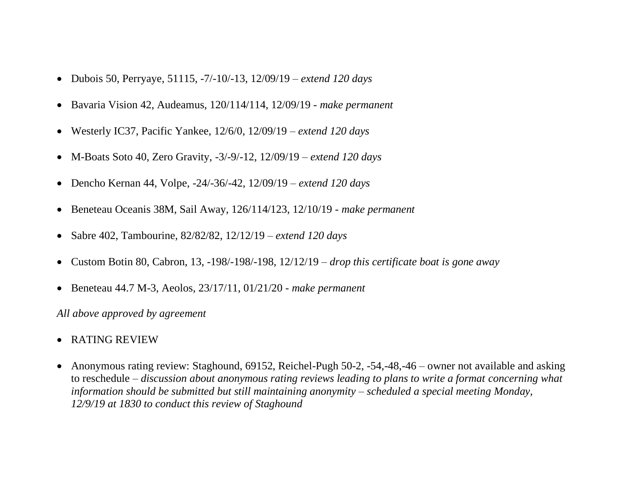- Dubois 50, Perryaye, 51115, -7/-10/-13, 12/09/19 *– extend 120 days*
- Bavaria Vision 42, Audeamus, 120/114/114, 12/09/19 *- make permanent*
- Westerly IC37, Pacific Yankee, 12/6/0, 12/09/19 *– extend 120 days*
- M-Boats Soto 40, Zero Gravity, -3/-9/-12, 12/09/19 *– extend 120 days*
- Dencho Kernan 44, Volpe, -24/-36/-42, 12/09/19 *– extend 120 days*
- Beneteau Oceanis 38M, Sail Away, 126/114/123, 12/10/19 *- make permanent*
- Sabre 402, Tambourine, 82/82/82, 12/12/19 *– extend 120 days*
- Custom Botin 80, Cabron, 13, -198/-198/-198, 12/12/19 *– drop this certificate boat is gone away*
- Beneteau 44.7 M-3, Aeolos, 23/17/11, 01/21/20 *- make permanent*

*All above approved by agreement*

- RATING REVIEW
- Anonymous rating review: Staghound, 69152, Reichel-Pugh 50-2, -54,-48,-46 owner not available and asking to reschedule – *discussion about anonymous rating reviews leading to plans to write a format concerning what information should be submitted but still maintaining anonymity – scheduled a special meeting Monday, 12/9/19 at 1830 to conduct this review of Staghound*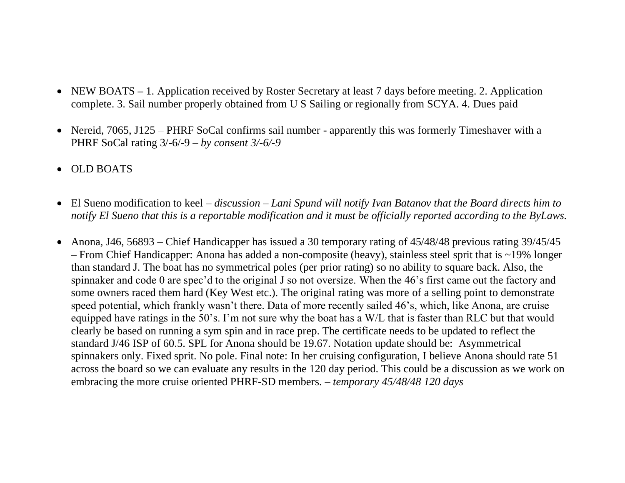- NEW BOATS 1. Application received by Roster Secretary at least 7 days before meeting. 2. Application complete. 3. Sail number properly obtained from U S Sailing or regionally from SCYA. 4. Dues paid
- Nereid, 7065, J125 PHRF SoCal confirms sail number apparently this was formerly Timeshaver with a PHRF SoCal rating 3/-6/-9 – *by consent 3/-6/-9*
- OLD BOATS
- El Sueno modification to keel *discussion – Lani Spund will notify Ivan Batanov that the Board directs him to notify El Sueno that this is a reportable modification and it must be officially reported according to the ByLaws.*
- Anona, J46, 56893 Chief Handicapper has issued a 30 temporary rating of 45/48/48 previous rating 39/45/45 – From Chief Handicapper: Anona has added a non-composite (heavy), stainless steel sprit that is ~19% longer than standard J. The boat has no symmetrical poles (per prior rating) so no ability to square back. Also, the spinnaker and code 0 are spec'd to the original J so not oversize. When the 46's first came out the factory and some owners raced them hard (Key West etc.). The original rating was more of a selling point to demonstrate speed potential, which frankly wasn't there. Data of more recently sailed 46's, which, like Anona, are cruise equipped have ratings in the 50's. I'm not sure why the boat has a W/L that is faster than RLC but that would clearly be based on running a sym spin and in race prep. The certificate needs to be updated to reflect the standard J/46 ISP of 60.5. SPL for Anona should be 19.67. Notation update should be: Asymmetrical spinnakers only. Fixed sprit. No pole. Final note: In her cruising configuration, I believe Anona should rate 51 across the board so we can evaluate any results in the 120 day period. This could be a discussion as we work on embracing the more cruise oriented PHRF-SD members. – *temporary 45/48/48 120 days*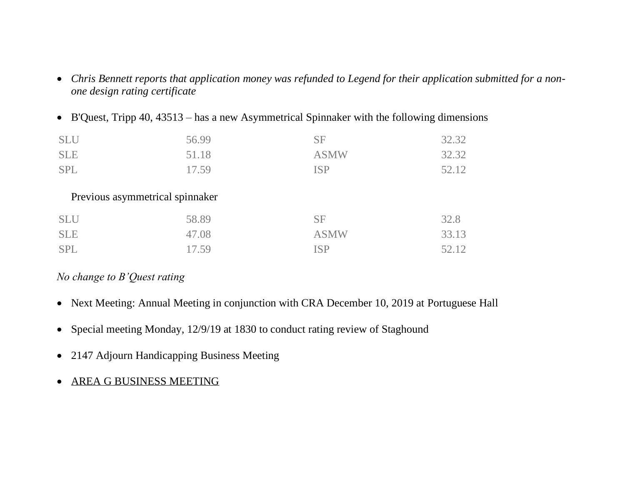- *Chris Bennett reports that application money was refunded to Legend for their application submitted for a nonone design rating certificate*
- B'Quest, Tripp 40, 43513 has a new Asymmetrical Spinnaker with the following dimensions

| <b>SLU</b> | 56.99                           | <b>SF</b>   | 32.32 |
|------------|---------------------------------|-------------|-------|
| <b>SLE</b> | 51.18                           | <b>ASMW</b> | 32.32 |
| <b>SPL</b> | 17.59                           | <b>ISP</b>  | 52.12 |
|            |                                 |             |       |
|            | Previous asymmetrical spinnaker |             |       |
| <b>SLU</b> | 58.89                           | <b>SF</b>   | 32.8  |
| <b>SLE</b> | 47.08                           | <b>ASMW</b> | 33.13 |
| <b>SPL</b> | 17.59                           | <b>ISP</b>  | 52.12 |

# *No change to B'Quest rating*

- Next Meeting: Annual Meeting in conjunction with CRA December 10, 2019 at Portuguese Hall
- Special meeting Monday, 12/9/19 at 1830 to conduct rating review of Staghound
- 2147 Adjourn Handicapping Business Meeting
- AREA G BUSINESS MEETING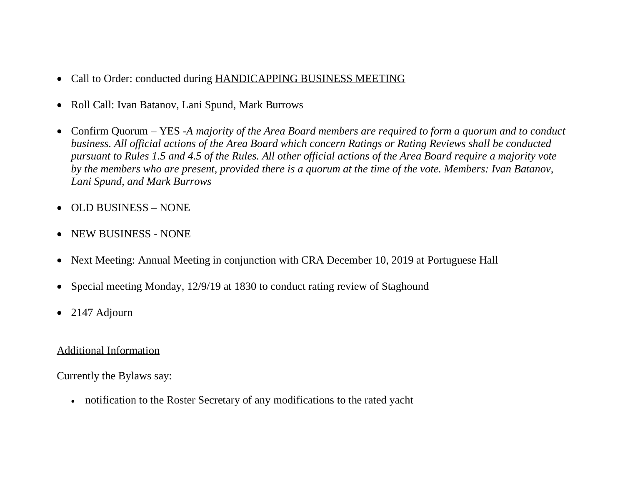- Call to Order: conducted during HANDICAPPING BUSINESS MEETING
- Roll Call: Ivan Batanov, Lani Spund, Mark Burrows
- Confirm Quorum YES -*A majority of the Area Board members are required to form a quorum and to conduct business. All official actions of the Area Board which concern Ratings or Rating Reviews shall be conducted pursuant to Rules 1.5 and 4.5 of the Rules. All other official actions of the Area Board require a majority vote by the members who are present, provided there is a quorum at the time of the vote. Members: Ivan Batanov, Lani Spund, and Mark Burrows*
- OLD BUSINESS NONE
- NEW BUSINESS NONE
- Next Meeting: Annual Meeting in conjunction with CRA December 10, 2019 at Portuguese Hall
- Special meeting Monday, 12/9/19 at 1830 to conduct rating review of Staghound
- 2147 Adjourn

#### Additional Information

Currently the Bylaws say:

• notification to the Roster Secretary of any modifications to the rated yacht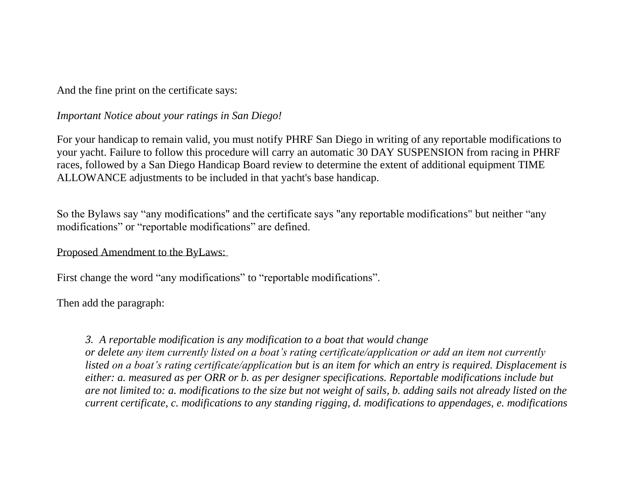And the fine print on the certificate says:

#### *Important Notice about your ratings in San Diego!*

For your handicap to remain valid, you must notify PHRF San Diego in writing of any reportable modifications to your yacht. Failure to follow this procedure will carry an automatic 30 DAY SUSPENSION from racing in PHRF races, followed by a San Diego Handicap Board review to determine the extent of additional equipment TIME ALLOWANCE adjustments to be included in that yacht's base handicap.

So the Bylaws say "any modifications" and the certificate says "any reportable modifications" but neither "any modifications" or "reportable modifications" are defined.

## Proposed Amendment to the ByLaws:

First change the word "any modifications" to "reportable modifications".

Then add the paragraph:

## *3. A reportable modification is any modification to a boat that would change*

*or delete any item currently listed on a boat's rating certificate/application or add an item not currently listed on a boat's rating certificate/application but is an item for which an entry is required. Displacement is either: a. measured as per ORR or b. as per designer specifications. Reportable modifications include but are not limited to: a. modifications to the size but not weight of sails, b. adding sails not already listed on the current certificate, c. modifications to any standing rigging, d. modifications to appendages, e. modifications*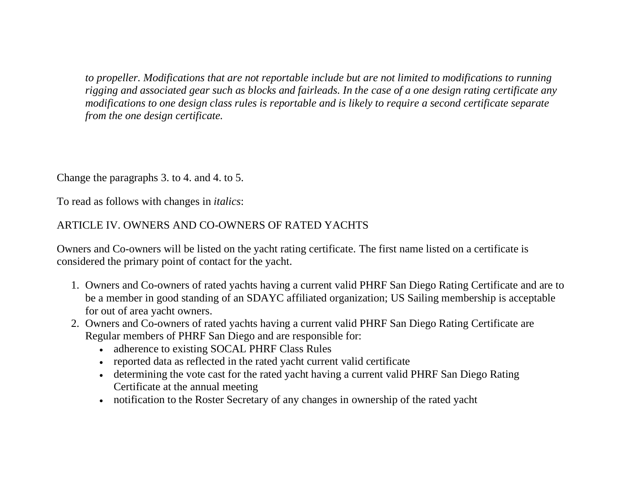*to propeller. Modifications that are not reportable include but are not limited to modifications to running rigging and associated gear such as blocks and fairleads. In the case of a one design rating certificate any modifications to one design class rules is reportable and is likely to require a second certificate separate from the one design certificate.* 

Change the paragraphs 3. to 4. and 4. to 5.

To read as follows with changes in *italics*:

# ARTICLE IV. OWNERS AND CO-OWNERS OF RATED YACHTS

Owners and Co-owners will be listed on the yacht rating certificate. The first name listed on a certificate is considered the primary point of contact for the yacht.

- 1. Owners and Co-owners of rated yachts having a current valid PHRF San Diego Rating Certificate and are to be a member in good standing of an SDAYC affiliated organization; US Sailing membership is acceptable for out of area yacht owners.
- 2. Owners and Co-owners of rated yachts having a current valid PHRF San Diego Rating Certificate are Regular members of PHRF San Diego and are responsible for:
	- adherence to existing SOCAL PHRF Class Rules
	- reported data as reflected in the rated yacht current valid certificate
	- determining the vote cast for the rated yacht having a current valid PHRF San Diego Rating Certificate at the annual meeting
	- notification to the Roster Secretary of any changes in ownership of the rated yacht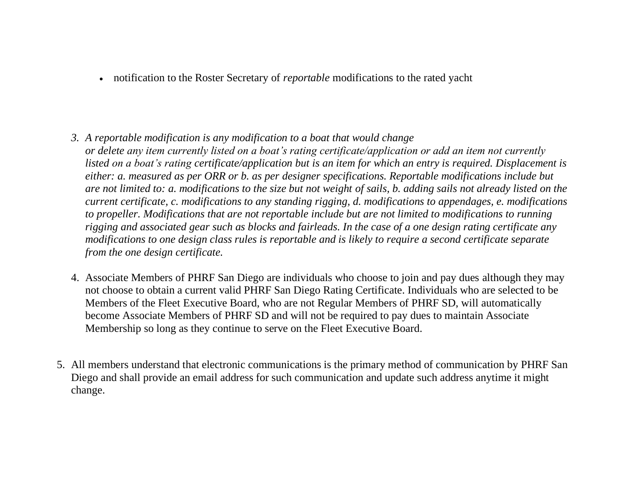• notification to the Roster Secretary of *reportable* modifications to the rated yacht

- *3. A reportable modification is any modification to a boat that would change or delete any item currently listed on a boat's rating certificate/application or add an item not currently listed on a boat's rating certificate/application but is an item for which an entry is required. Displacement is either: a. measured as per ORR or b. as per designer specifications. Reportable modifications include but are not limited to: a. modifications to the size but not weight of sails, b. adding sails not already listed on the current certificate, c. modifications to any standing rigging, d. modifications to appendages, e. modifications to propeller. Modifications that are not reportable include but are not limited to modifications to running rigging and associated gear such as blocks and fairleads. In the case of a one design rating certificate any modifications to one design class rules is reportable and is likely to require a second certificate separate from the one design certificate.*
- 4. Associate Members of PHRF San Diego are individuals who choose to join and pay dues although they may not choose to obtain a current valid PHRF San Diego Rating Certificate. Individuals who are selected to be Members of the Fleet Executive Board, who are not Regular Members of PHRF SD, will automatically become Associate Members of PHRF SD and will not be required to pay dues to maintain Associate Membership so long as they continue to serve on the Fleet Executive Board.
- 5. All members understand that electronic communications is the primary method of communication by PHRF San Diego and shall provide an email address for such communication and update such address anytime it might change.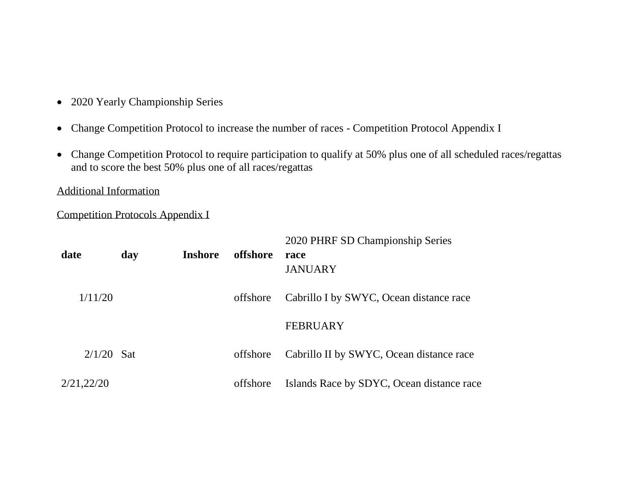- 2020 Yearly Championship Series
- Change Competition Protocol to increase the number of races Competition Protocol Appendix I
- Change Competition Protocol to require participation to qualify at 50% plus one of all scheduled races/regattas and to score the best 50% plus one of all races/regattas

Additional Information

Competition Protocols Appendix I

| date         | day | <b>Inshore</b> | offshore | 2020 PHRF SD Championship Series<br>race<br><b>JANUARY</b> |
|--------------|-----|----------------|----------|------------------------------------------------------------|
| 1/11/20      |     |                | offshore | Cabrillo I by SWYC, Ocean distance race                    |
|              |     |                |          | <b>FEBRUARY</b>                                            |
| $2/1/20$ Sat |     |                | offshore | Cabrillo II by SWYC, Ocean distance race                   |
| 2/21,22/20   |     |                | offshore | Islands Race by SDYC, Ocean distance race                  |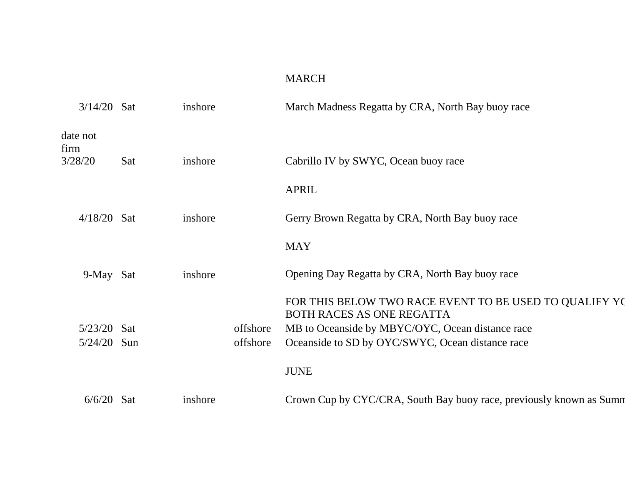# MARCH

| $3/14/20$ Sat    |            | inshore |          | March Madness Regatta by CRA, North Bay buoy race                                   |
|------------------|------------|---------|----------|-------------------------------------------------------------------------------------|
| date not<br>firm |            |         |          |                                                                                     |
| 3/28/20          | Sat        | inshore |          | Cabrillo IV by SWYC, Ocean buoy race                                                |
|                  |            |         |          | <b>APRIL</b>                                                                        |
| $4/18/20$ Sat    |            | inshore |          | Gerry Brown Regatta by CRA, North Bay buoy race                                     |
|                  |            |         |          | <b>MAY</b>                                                                          |
| 9-May Sat        |            | inshore |          | Opening Day Regatta by CRA, North Bay buoy race                                     |
|                  |            |         |          | FOR THIS BELOW TWO RACE EVENT TO BE USED TO QUALIFY YO<br>BOTH RACES AS ONE REGATTA |
| $5/23/20$ Sat    |            |         | offshore | MB to Oceanside by MBYC/OYC, Ocean distance race                                    |
| $5/24/20$ Sun    |            |         | offshore | Oceanside to SD by OYC/SWYC, Ocean distance race                                    |
|                  |            |         |          | <b>JUNE</b>                                                                         |
| 6/6/20           | <b>Sat</b> | inshore |          | Crown Cup by CYC/CRA, South Bay buoy race, previously known as Summ                 |
|                  |            |         |          |                                                                                     |